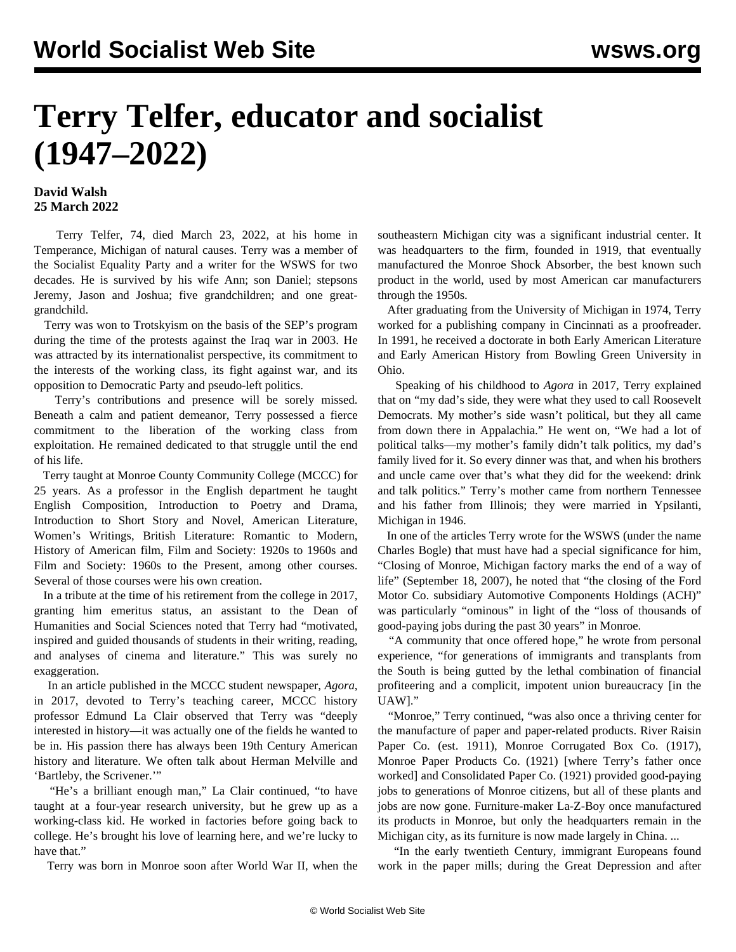## **Terry Telfer, educator and socialist (1947–2022)**

## **David Walsh 25 March 2022**

 Terry Telfer, 74, died March 23, 2022, at his home in Temperance, Michigan of natural causes. Terry was a member of the Socialist Equality Party and a writer for the WSWS for two decades. He is survived by his wife Ann; son Daniel; stepsons Jeremy, Jason and Joshua; five grandchildren; and one greatgrandchild.

 Terry was won to Trotskyism on the basis of the SEP's program during the time of the protests against the Iraq war in 2003. He was attracted by its internationalist perspective, its commitment to the interests of the working class, its fight against war, and its opposition to Democratic Party and pseudo-left politics.

 Terry's contributions and presence will be sorely missed. Beneath a calm and patient demeanor, Terry possessed a fierce commitment to the liberation of the working class from exploitation. He remained dedicated to that struggle until the end of his life.

 Terry taught at Monroe County Community College (MCCC) for 25 years. As a professor in the English department he taught English Composition, Introduction to Poetry and Drama, Introduction to Short Story and Novel, American Literature, Women's Writings, British Literature: Romantic to Modern, History of American film, Film and Society: 1920s to 1960s and Film and Society: 1960s to the Present, among other courses. Several of those courses were his own creation.

 In a tribute at the time of his retirement from the college in 2017, granting him emeritus status, an assistant to the Dean of Humanities and Social Sciences noted that Terry had "motivated, inspired and guided thousands of students in their writing, reading, and analyses of cinema and literature." This was surely no exaggeration.

 In an [article](https://mcccagora.com/2017/04/18/students-appreciate-terry-telfers-guidance/) published in the MCCC student newspaper, *Agora*, in 2017, devoted to Terry's teaching career, MCCC history professor Edmund La Clair observed that Terry was "deeply interested in history—it was actually one of the fields he wanted to be in. His passion there has always been 19th Century American history and literature. We often talk about Herman Melville and 'Bartleby, the Scrivener.'"

 "He's a brilliant enough man," La Clair continued, "to have taught at a four-year research university, but he grew up as a working-class kid. He worked in factories before going back to college. He's brought his love of learning here, and we're lucky to have that."

Terry was born in Monroe soon after World War II, when the

southeastern Michigan city was a significant industrial center. It was headquarters to the firm, founded in 1919, that eventually manufactured the Monroe Shock Absorber, the best known such product in the world, used by most American car manufacturers through the 1950s.

 After graduating from the University of Michigan in 1974, Terry worked for a publishing company in Cincinnati as a proofreader. In 1991, he received a doctorate in both Early American Literature and Early American History from Bowling Green University in Ohio.

 Speaking of his childhood to *Agora* in 2017, Terry explained that on "my dad's side, they were what they used to call Roosevelt Democrats. My mother's side wasn't political, but they all came from down there in Appalachia." He went on, "We had a lot of political talks—my mother's family didn't talk politics, my dad's family lived for it. So every dinner was that, and when his brothers and uncle came over that's what they did for the weekend: drink and talk politics." Terry's mother came from northern Tennessee and his father from Illinois; they were married in Ypsilanti, Michigan in 1946.

 In one of the articles Terry wrote for the WSWS (under the name Charles Bogle) that must have had a special significance for him, "[Closing of Monroe, Michigan factory marks the end of a way of](/en/articles/2007/09/monr-s18.html) [life"](/en/articles/2007/09/monr-s18.html) (September 18, 2007), he noted that "the closing of the Ford Motor Co. subsidiary Automotive Components Holdings (ACH)" was particularly "ominous" in light of the "loss of thousands of good-paying jobs during the past 30 years" in Monroe.

 "A community that once offered hope," he wrote from personal experience, "for generations of immigrants and transplants from the South is being gutted by the lethal combination of financial profiteering and a complicit, impotent union bureaucracy [in the UAW]."

 "Monroe," Terry continued, "was also once a thriving center for the manufacture of paper and paper-related products. River Raisin Paper Co. (est. 1911), Monroe Corrugated Box Co. (1917), Monroe Paper Products Co. (1921) [where Terry's father once worked] and Consolidated Paper Co. (1921) provided good-paying jobs to generations of Monroe citizens, but all of these plants and jobs are now gone. Furniture-maker La-Z-Boy once manufactured its products in Monroe, but only the headquarters remain in the Michigan city, as its furniture is now made largely in China. ...

 "In the early twentieth Century, immigrant Europeans found work in the paper mills; during the Great Depression and after